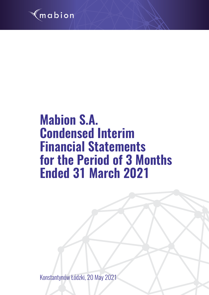

# **Mabion S.A. Condensed Interim Financial Statements for the Period of 3 Months Ended 31 March 2021**

Konstantynów Łódzki, 20 May 2021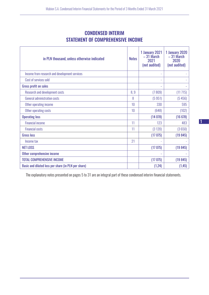# CONDENSED INTERIM STATEMENT OF COMPREHENSIVE INCOME

| in PLN thousand, unless otherwise indicated         | <b>Notes</b>    | 1 January 2021<br>$-31$ March<br>2021<br>(not audited) | 1 January 2020<br>$-31$ March<br>2020<br>(not audited) |
|-----------------------------------------------------|-----------------|--------------------------------------------------------|--------------------------------------------------------|
| Income from research and development services       |                 |                                                        |                                                        |
| Cost of services sold                               |                 |                                                        |                                                        |
| <b>Gross profit on sales</b>                        |                 |                                                        |                                                        |
| Research and development costs                      | 8,9             | (7809)                                                 | (11 715)                                               |
| General administration costs                        | 8               | (5951)                                                 | (5456)                                                 |
| Other operating income                              | 10              | 330                                                    | 595                                                    |
| Other operating costs                               | 10 <sup>1</sup> | (648)                                                  | (102)                                                  |
| <b>Operating loss</b>                               |                 | (14078)                                                | (16678)                                                |
| <b>Financial income</b>                             | 11              | 123                                                    | 483                                                    |
| <b>Financial costs</b>                              | 11              | (3 120)                                                | (3650)                                                 |
| <b>Gross loss</b>                                   |                 | (17075)                                                | (19845)                                                |
| Income tax                                          | 21              |                                                        |                                                        |
| <b>NET LOSS</b>                                     |                 | (17075)                                                | (19845)                                                |
| Other comprehensive income                          |                 |                                                        |                                                        |
| <b>TOTAL COMPREHENSIVE INCOME</b>                   |                 | (17075)                                                | (19845)                                                |
| Basic and diluted loss per share (in PLN per share) |                 | (1, 24)                                                | (1, 45)                                                |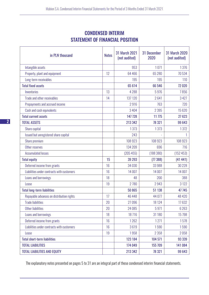# CONDENSED INTERIM STATEMENT OF FINANCIAL POSITION

| in PLN thousand                            | <b>Notes</b> | <b>31 March 2021</b><br>(not audited) | 31 December<br>2020 | <b>31 March 2020</b><br>(not audited) |
|--------------------------------------------|--------------|---------------------------------------|---------------------|---------------------------------------|
| Intangible assets                          |              | 953                                   | 1071                | 1376                                  |
| Property, plant and equipment              | 12           | 64 466                                | 65 280              | 70534                                 |
| Long-term receivables                      |              | 195                                   | 195                 | 110                                   |
| <b>Total fixed assets</b>                  |              | 65 614                                | 66 546              | 72 0 20                               |
| Inventories                                | 13           | 4 2 8 8                               | 5976                | 7856                                  |
| Trade and other receivables                | 14           | 137 120                               | 2641                | 3 4 2 7                               |
| Prepayments and accrued income             |              | 2916                                  | 763                 | 720                                   |
| Cash and cash equivalents                  |              | 3 4 0 4                               | 2 3 9 5             | 15 6 20                               |
| <b>Total current assets</b>                |              | 147 728                               | 11 775              | 27 623                                |
| <b>TOTAL ASSETS</b>                        |              | 213 342                               | 78 321              | 99 643                                |
| Share capital                              |              | 1373                                  | 1373                | 1372                                  |
| Issued but unregistered share capital      |              | 243                                   |                     |                                       |
| Share premium                              |              | 108 923                               | 108 923             | 108 923                               |
| Other reserves                             |              | 134 209                               | 696                 | 716                                   |
| <b>Accumulated losses</b>                  |              | (205455)                              | (188 380)           | (152453)                              |
| <b>Total equity</b>                        | 15           | 39 293                                | (77388)             | (41441)                               |
| Deferred income from grants                | 16           | 34 0 30                               | 33 988              | 30 228                                |
| Liabilities under contracts with customers | 16           | 14 007                                | 14 007              | 14 007                                |
| Loans and borrowings                       | 18           | 48                                    | 200                 | 388                                   |
| Lease                                      | 19           | 2780                                  | 2943                | 3 1 2 2                               |
| <b>Total long-term liabilities</b>         |              | 50 865                                | 51 138              | 47 745                                |
| Repayable advances on distribution rights  | 17           | 46 4 48                               | 44 077              | 48 420                                |
| <b>Trade liabilities</b>                   | 20           | 27096                                 | 18 124              | 17632                                 |
| <b>Other liabilities</b>                   | 20           | 24 08 5                               | 5971                | 6 2 6 3                               |
| Loans and borrowings                       | 18           | 18716                                 | 31 180              | 15 7 98                               |
| Deferred income from grants                | 16           | 1262                                  | 1271                | 1578                                  |
| Liabilities under contracts with customers | 16           | 3619                                  | 1590                | 1590                                  |
| Lease                                      | 19           | 1958                                  | 2 3 5 8             | 2058                                  |
| <b>Total short-term liabilities</b>        |              | 123 184                               | 104 571             | 93 339                                |
| <b>TOTAL LIABILITIES</b>                   |              | 174 049                               | 155 709             | 141 084                               |
| <b>TOTAL LIABILITIES AND EQUITY</b>        |              | 213 342                               | 78 321              | 99 643                                |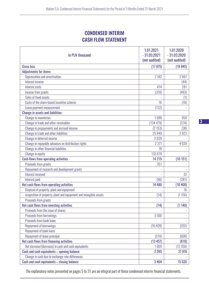# CONDENSED INTERIM CASH FLOW STATEMENT

| in PLN thousand                                                    | 1.01.2021<br>$-31.03.2021$<br>(not audited) | 1.01.2020<br>$-31.03.2020$<br>(not audited) |
|--------------------------------------------------------------------|---------------------------------------------|---------------------------------------------|
| <b>Gross loss</b>                                                  | (17075)                                     | (19845)                                     |
| <b>Adjustments for items:</b>                                      |                                             |                                             |
| Depreciation and amortisation                                      | 2 1 8 2                                     | 2667                                        |
| Interest income                                                    |                                             | (44)                                        |
| Interest costs                                                     | 414                                         | 281                                         |
| Income from grants                                                 | (318)                                       | (493)                                       |
| Sales of fixed assets                                              |                                             | (1)                                         |
| Costs of the share-based incentive scheme                          | 76                                          | (16)                                        |
| Lease payment measurement                                          | (122)                                       |                                             |
| <b>Change in assets and liabilities:</b>                           |                                             |                                             |
| <b>Change in inventories</b>                                       | 1688                                        | 950                                         |
| Change in trade and other receivables                              | (134 479)                                   | (574)                                       |
| Change in prepayments and accrued income                           | (2153)                                      | (38)                                        |
| Change in trade and other liabilities                              | 25849                                       | 2923                                        |
| Change in deferred income                                          | 2029                                        |                                             |
| Change in repayable advances on distribution rights                | 2 3 7 1                                     | 4039                                        |
| Change in other financial liabilities                              | 78                                          |                                             |
| Change in equity                                                   | 133 679                                     |                                             |
| <b>Cash flows from operating activities</b>                        | 14 2 19                                     | (10151)                                     |
| Proceeds from grants                                               | 351                                         |                                             |
| Repayment of research and development grants                       |                                             |                                             |
| Interest received                                                  |                                             | 32                                          |
| Interest paid                                                      | (90)                                        | (281)                                       |
| Net cash flows from operating activities                           | 14 480                                      | (10 400)                                    |
| Disposal of property, plant and equipment                          |                                             | 16                                          |
| Acquisition of property, plant and equipment and intangible assets | (14)                                        | (1156)                                      |
| Proceeds from grants                                               |                                             |                                             |
| Net cash flows from investing activities                           | (14)                                        | (1140)                                      |
| Proceeds from the issue of shares                                  |                                             |                                             |
| <b>Proceeds from borrowings</b>                                    | 3500                                        |                                             |
| <b>Proceeds from bank loans</b>                                    |                                             |                                             |
| <b>Repayment of borrowings</b>                                     | (16439)                                     | (202)                                       |
| Repayment of bank loans                                            |                                             |                                             |
| Repayment of lease principal                                       | (518)                                       | (608)                                       |
| Net cash flows from financing activities                           | (13 457)                                    | (810)                                       |
| Net increase/(decrease) in cash and cash equivalents               | 1009                                        | (12350)                                     |
| Cash and cash equivalents - opening balance                        | 2 3 9 5                                     | 27 970                                      |
| Change in cash due to exchange rate differences                    |                                             |                                             |
| Cash and cash equivalents - closing balance                        | 3 4 0 4                                     | 15 620                                      |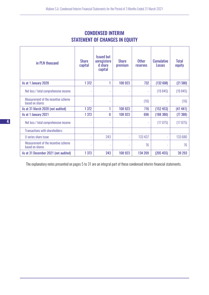| in PLN thousand                                        | <b>Share</b><br>capital | <b>Issued but</b><br>unregistere<br>d share<br>capital | <b>Share</b><br>premium  | <b>Other</b><br><b>reserves</b> | <b>Cumulative</b><br><b>Losses</b> | <b>Total</b><br>equity |
|--------------------------------------------------------|-------------------------|--------------------------------------------------------|--------------------------|---------------------------------|------------------------------------|------------------------|
| As at 1 January 2020                                   | 1 3 7 2                 |                                                        | 108 923                  | 732                             | (132608)                           | (21580)                |
| Net loss / total comprehensive income                  |                         |                                                        | L,                       | $\overline{\phantom{a}}$        | (19845)                            | (19845)                |
| Measurement of the incentive scheme<br>based on shares |                         | $\overline{\phantom{a}}$                               | ٠                        | (16)                            |                                    | (16)                   |
| As at 31 March 2020 (not audited)                      | 1 3 7 2                 |                                                        | 108 923                  | 716                             | (152 453)                          | (41441)                |
| As at 1 January 2021                                   | 1 3 7 3                 | 0                                                      | 108 923                  | 696                             | (188 380)                          | (77388)                |
| Net loss / total comprehensive income                  |                         |                                                        |                          |                                 | (17075)                            | (17075)                |
| Transactions with shareholders:                        |                         |                                                        |                          |                                 |                                    |                        |
| U series share issue                                   |                         | 243                                                    | $\overline{\phantom{a}}$ | 133 437                         |                                    | 133 680                |
| Measurement of the incentive scheme<br>based on shares |                         |                                                        | ٠                        | 76                              |                                    | 76                     |
| As at 31 December 2021 (not audited)                   | 1 3 7 3                 | 243                                                    | 108 923                  | 134 209                         | (205 455)                          | 39 293                 |

# CONDENSED INTERIM STATEMENT OF CHANGES IN EQUITY

 $\top$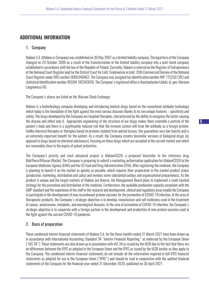## ADDITIONAL INFORMATION

## 1. Company

Mabion S.A. (Mabion or Company) was established on 30 May 2007 as a limited liability company. The legal form of the Company changed on 29 October 2009 as a result of the transformation of the limited liability company into a joint-stock company established in accordance with the law of the Republic of Poland. Currently, Mabion is entered on the Register of Entrepreneurs of the National Court Register kept by the District Court for Łódź-Śródmieście in Łódź, 20th Commercial Division of the National Court Register under KRS number 0000340462. The Company was assigned tax identification number NIP 7752561383 and statistical identification number REGON 100343056. The Company's registered office is Konstantynów Łódzki, ul. gen. Mariana Langiewicza 60.

The Company's shares are listed on the Warsaw Stock Exchange.

Mabion is a biotechnology company developing and introducing biotech drugs based on the monoclonal antibody technology which today is the foundation of the fight against the most serious diseases thanks to its two unique features – specificity and safety. The drugs developed by the Company are targeted therapies, characterised by the ability to recognise the factor causing the disease and affect only it. Appropriate engineering of the structure of our drugs makes them resemble a particle of the patient's body and there is a significantly reduced risk that the immune system will treat the antibody as a foreign protein. Unlike chemical therapies or therapies based on proteins isolated from animal tissues, this guarantees very low toxicity and is an extremely important benefit for the patient. As a result, the Company creates biosimilar versions of biological drugs (as opposed to drugs based on chemical substances), focusing on those drugs which are accepted in the current market and which are reasonably close to the expiry of patent protection.

The Company's priority and most advanced project is MabionCD20, a proposed biosimilar to the reference drug MabThera/Rituxan (Roche). The Company is preparing to submit a marketing authorisation application for MabionCD20 to the European Medicines Agency (EMA) and the US Food and Drug Administration (FDA). After registering the medicine, the Company is planning to launch it on the market as quickly as possible, which requires their preparation to the market product status (production, marketing, distribution and sales) and involves some substantial outlays and organizational preparedness. As the product is unique and the target markets of Mabion are diverse, the Management Board plans to implement a multi-faceted strategy for the promotion and distribution of the medicine. Furthermore, the available production capacity compliant with the GMP standard and the experience of the staff in the research and development, clinical and regulatory areas enable the Company to participate in the development of new recombinant protein vaccines for the prevention of COVID-19 infection. In the area of therapeutic products, the Company's strategic objective is to develop, manufacture and sell medicines used in the treatment of cancer, autoimmune, metabolic, and neurological diseases. In the area of prevention of COVID-19 infection, the Company's strategic objective is to cooperate with a foreign partner in the development and production of new protein vaccines used in the fight against the current COVID-19 pandemic.

## 2. Basis of preparation

These condensed interim financial statements of Mabion S.A. for the three months ended 31 March 2021 have been drawn up in accordance with International Accounting Standard 34 "Interim Financial Reporting" as endorsed by the European Union ("IAS 34"). These statements are also drawn up in accordance with IAS 34 as issued by the IASB due to the fact that there are no differences between the IFRS as adopted in the European Union and the IFRS as issued by the IASB insofar as they apply to the Company. The condensed interim financial statements do not include all the information required in full IFRS financial statements as adopted for use in the European Union ("IFRS") and should be read in conjunction with the audited financial statements of the Company for the financial year ended 31 December 2020, published on 30 April 2021.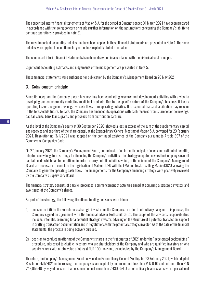The condensed interm financial statements of Mabion S.A. for the period of 3 months ended 31 March 2021 have been prepared in accordance with the going concern principle (further information on the assumptions concerning the Company's ability to continue operations is provided in Note 3).

The most important accounting policies that have been applied in these financial statements are presented in Note 4. The same policies were applied in each financial year, unless explicitly stated otherwise.

The condensed interim financial statements have been drawn up in accordance with the historical cost principle.

Significant accounting estimates and judgements of the management are presented in Note 5.

These financial statements were authorised for publication by the Company's Management Board on 20 May 2021.

## 3. Going concern principle

Since its inception, the Company's core business has been conducting research and development activities with a view to developing and commercially marketing medicinal products. Due to the specific nature of the Company's business, it incurs operating losses and generates negative cash flows from operating activities. It is expected that such a situation may reoccur in the foreseeable future. To date, the Company has financed its operations with cash received from shareholder borrowings, capital issues, bank loans, grants and proceeds from distribution partners.

As the level of the Company's equity at 30 September 2020 showed a loss in excess of the sum of the supplementary capital and reserves and one-third of the share capital, at the Extraordinary General Meeting of Mabion S.A. convened for 23 February 2021, Resolution no. 3/II/2021 was adopted on the continued existence of the Company pursuant to Article 397 of the Commercial Companies Code.

On 27 January 2021, the Company's Management Board, on the basis of an in-depth analysis of needs and estimated benefits, adopted a new long-term strategy for financing the Company's activities. The strategy adopoted covers the Company's overall capital needs which has to be fulfilled in order to carry out all activities which, in the opinion of the Company's Management Board, are necessary to complete the registration of MabionCD20 with the EMA and to start selling MabionCD20, allowing the Company to generate operating cash flows. The arrangements for the Company's financing strategy were positively reviewed by the Company's Supervisory Board.

The financial strategy consists of parallel processes: commencement of activities aimed at acquiring a strategic investor and two issues of the Company's shares.

As part of the strategy, the following directional funding decisions were taken:

- 1) decision to initiate the search for a strategic investor for the Company. In order to effectively carry out this process, the Company signed an agreement with the financial advisor Rothschild & Co. The scope of the advisor's responsibilities includes, inter alia, searching for a potential strategic investor, advising on the structure of a potential transaction, support in drafting transaction documentation and in negotiations with the potential strategic investor. As at the date of the financial statements, the process is being actively pursued.
- 2) decision to conduct an offering of the Company's shares in the first quarter of 2021 under the "accelerated bookbuilding" procedure, addressed to eligible investors who are shareholders of the Company and who are qualified investors or who acquire shares with a total value of at least EUR 100 thousand, as indicated by the Company's Management Board.

Therefore, the Company's Management Board convened an Extraordinary General Meeting for 23 February 2021, which adopted Resolution 4/II/2021 on increasing the Company's share capital by an amount not less than PLN 0.10 and not more than PLN 243,055.40 by way of an issue of at least one and not more than 2,430,554 U series ordinary bearer shares with a par value of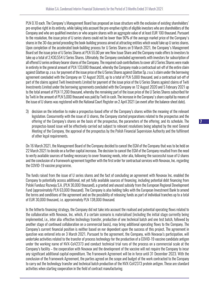PLN 0.10 each. The Company's Management Board has proposed an issue structure with the exclusion of existing shareholders' pre-emptive right in its entirety, while taking into account the pre-emptive rights of eligible investors who are shareholders of the Company and who are qualified investors or who acquire shares with an aggregate value of at least EUR 100 thousand. Pursuant to the resolution, the issue price of U series shares could not be lower than 90% of the average market price of the Company's shares in the 30-day period preceding the book-building process aimed at attracting entities which would take up U series shares. Upon completion of the accelerated book-building process for U Series Shares on 9 March 2021, the Company's Management Board set the issue price of U Series Shares at PLN 55.00 per one New Issue Share and the Company made offers to investors to take up a total of 2,430,554 U Series Shares. Ultimately, the Company concluded agreements with investors for subscription of all offered U series ordinary bearer shares of the Company. The required cash contributions to cover all U Series Shares were made in entirety in the general amount of PLN 133,680 thousand, whereby the Company made a contractual set-off of the entire claim against Glatton sp. z o.o. for payment of the issue price of the U Series Shares against Glatton Sp. z o.o.'s claim under the borrowing agreement concluded with the Company on 12 August 2020, up to a total of PLN 5,000 thousand, and a contractual set-off of part of the claims against Twiti Investments Limited for payment of the issue price of the U Series Shares against claims of Twiti Investments Limited under the borrowing agreements concluded with the Company on 12 August 2020 and 5 February 2021 up to the total amount of PLN 11,200 thousand, whereby the remaining part of the issue price of the U Series Shares subscribed for by Twiti in the amount of PLN 5,000 thousand was paid by Twiti in cash. The increase in the Company's share capital by means of the issue of U shares was registered with the National Court Register on 2 April 2021 (an event after the balance-sheet date).

3) decision on the intention to make a prospectus-based offer of the Company's shares within the meaning of the relevant legislation. Concurrently with the issue of U shares, the Company started preparations related to the prospectus and the offering of the Company's shares on the basis of the prospectus, the parameters of the offering, and its schedule. The prospectus-based issue will be effectively carried out subject to relevant resolutions being adopted by the next General Meeting of the Company, the approval of the prospectus by the Polish Financial Supervision Authority and the fulfilment of other legal requirements.

On 16 March 2021, the Management Board of the Company decided to cancel the EGM of the Company that was to be held on 22 March 2021 to decide on a further capital increase. The decision to cancel the EGM of the Company resulted from the need to verify available sources of funding necessary to cover financing needs, inter alia, following the successful issue of U shares and the conclusion of a framework agreement together with the first order for contractual services with Novavax, Inc. regarding the COVID-19 vaccine programme.

The funds raised from the issue of U series shares and the fact of concluding an agreement with Novavax Inc. enabled the Company to potentially access additional, not yet fully available sources of financing, including potential debt financing from Polski Fundusz Rozwoju S.A. (PLN 30,000 thousand), a granted and unused subsidy from the European Regional Development Fund (approximately PLN 63,000 thousand). The Company is also holding talks with the European Investment Bank to amend the terms and conditions of the agreement and on the possibility of releasing funds as part of individual tranches up to a total of EUR 30,000 thousand, i.e. approximately PLN 138,000 thousand.

In the hitherto financing strategy, the Company did not take into account the realised and potential operating flows related to the collaboration with Novavax, Inc. which, if a certain scenario is materialised (including the initial stage currently being implemented, i.e., inter alia: effective technology transfer, production of one technical batch and one test batch, followed by another stage of continued collaboration on a commercial basis), may bring additional operating flows to the Company. The Company's current financial position is neither based on nor dependent upon the success of this project. The agreement in question was entered into on 3 March 2021. Pursuant to the agreement, the Company, with Novavax's participation, will undertake activities related to the transfer of process technology for the production of a COVID-19 vaccine candidate antigen under the working name of NVX-CoV2373 and conduct technical trial runs of the process on a commercial scale at the Company's facility – the cooperation with Novavax and the development of the vaccine will not require the Company to incur any significant additional capital expenditure. The Framework Agreement will be in force until 31 December 2023. With the conclusion of the Framework Agreement, the parties agreed on the scope and budget of the work contracted to the Company to carry out the technology transfer and technical batch production of the NVX-CoV2373 protein antigen. These are standard activities when starting cooperation in the field of contract manufacturing.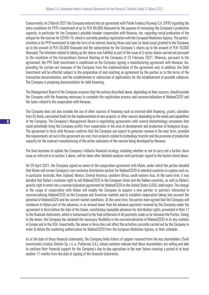Concurrently, on 3 March 2021 the Company entered into an agreement with Polski Fundusz Rozwoju S.A. (PFR) regarding the entry conditions for PFR's investment of up to PLN 40,000 thousand for the purpose of increasing the Company's production capacity, in particular for the Company's possible broader cooperation with Novavax, Inc. regarding serial production of the antigen for the vaccine for COVID-19, which is currently pending registration with the European Medicines Agency. The parties' intention is for PFR Investment to take the form of an interest-bearing three-year loan (or bond issue) granted to the Company up to the amount of PLN 30,000 thousand and the subscription for the Company's shares up to the amount of PLN 10,000 thousand. The intention related to taking up the shares was fulfilled as part of the issue of U series shares carried out pursuant to the resolution of the Extraordinary General Meeting of the Company of 23 February 2021. Whereas, pursuant to the agreement, the PFR Debt Investment is conditional on the Company signing a manufacturing agreement with Novavax, Inc. providing for certain net revenues of the Company from the implementation of the agreement and, in addition, the Debt Investment will be effected subject to the preparation of and reaching an agreement by the parties as to the terms of the transaction documentation, and the establishment or submission of applications for the establishment of possible collateral. The Company is preparing documentation for debt financing.

The Management Board of the Company assumes that the actions described above, depending on their success, should provide the Company with the financing necessary to complete the registration process and commercialisation of MabionCD20 and the tasks related to the cooperation with Novavax.

The Company does not also exclude the use of other sources of financing such as external debt financing, grants, subsidies from EU funds, earmarked funds for the implementation of new projects, or other sources depending on the needs and capabilities of the Company. The Company's Management Board is negotiating agreements with several biotechnology companies that could potentially bring the Company profits from cooperation in the area of development and production of biological drugs. The agreement in force with Novavax confirms that the Company can expect to generate revenue in the near term, provided the requirements set out in the agreement are met, from projects related to technology transfer and the provision of production capacity for the contract manufacturing of the active substance of the vaccine being developed by Novavax.

The final decisions to update the Company's hitherto financial strategy, including whether or not to carry out a further share issue as referred to in section 3 above, will be taken after detailed analyses with particular regard to the factors listed above.

On 29 April 2021, the Company signed an annex to the cooperation agreement with Mylan, under which the parties decided that Mylan will remain Company's non-exclusive distribution partner for MabionCD20 in selected countries in regions such as, in particular Australia, New Zealand, Mexico, Central America, southern Africa, south-eastern Asia. At the same time, it was decided that Mylan's exclusive right to sell MabionCD20 in the European Union and the Balkan countries, as well as Mylan's priority right to enter into a commercialization agreement for MabionCD20 in the United States (USA), shall expire. The change in the scope of cooperation with Mylan will enable the Company to acquire a new partner or partners interested in commercializing MabionCD20 on the European and American markets and to establish cooperation taking into account the potential of MabionCD20 and the current market conditions. At the same time, the parties have agreed that the Company will reimburse to Mylan part of the advances, in an amount lower than the advance payments received by the Company under the agreement in force before the date of the Annex, constituting repayable advances for distribution rights, presented in Note 17 to the financial statements, which is tantamount to the final settlement of all payments made so far between the Parties. Owing to the Annex, the Company has obtained the necessary flexibility in the commercialization of MabionCD20 in its key markets in Europe and in the USA. Importantly, the annex in force does not affect the activities currently carried out by the Company in order to obtain the marketing authorisation for MabionCD20 from the European Medicines Agency, or their schedule.

As at the date of these financial statements, the Company holds letters of support received from the key shareholders (Twiti Investments Limited, Glatton Sp. z o. o., Polfarmex S.A.), whose contents indicate that these shareholders are willing and able to continue their financial support for the Company's day-to-day operations in the near future covering a period of at least another 11 months from the date of signing of the financial statements.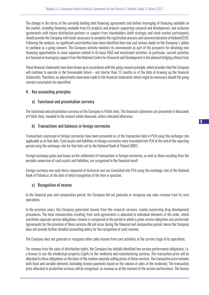The change in the terms of the currently binding debt financing agreements and further leveraging of financing available on the market, including financing available from EU projects and projects supporting research and development, and exclusive agreements with future distribution partners or support from shareholders (both strategic and stock market participants) should provide the Company with funds necessary to complete the registration process and commercialization of MabionCD20. Following the analysis, no significant uncertainties have been identified that may cast serious doubt on the Company's ability to continue as a going concern. The Company actively monitors its environment as part of the prospects for obtaining new financing opportunities to cover expenses related to its basic R&D and investment activities. In particular, current activities are focused on leveraging support from the National Centre for Research and Development in the planned bridging clinical trial.

These financial statements have been drawn up in accordance with the going concern principle, which provides that the Company will continue to operate in the foreseeable future – not shorter than 12 months as of the date of drawing up the financial statements. Therefore, no adjustments have been made to the financial statements which might be necessary should the going concern assumption be unjustified.

## 4. Key accounting principles

## a) Functional and presentation currency

The functional and presentation currency of the Company is Polish zloty. The financial statements are presented in thousands of Polish zloty, rounded to the nearest whole thousand, unless indicated otherwise.

## b) Transactions and balances in foreign currencies

Transactions expressed in foreign currencies have been presented as at the transaction date in PLN using the exchange rate applicable as at that date. Cash assets and liabilities in foreign currencies were translated into PLN at the end of the reporting period using the exchange rate for that date set by the National Bank of Poland (NBP).

Foreign exchange gains and losses on the settlement of transactions in foreign currencies, as well as those resulting from the periodic conversion of cash assets and liabilities, are recognised in the financial result.

Foreign currency non-cash items measured at historical cost are translated into PLN using the exchange rate of the National Bank of Poland as at the date of initial recognition of the item in question.

#### c) Recognition of income

In the financial year and comparative period, the Company did not generate or recognise any sales revenue from its core operations.

In the previous years, the Company generated income from the research services, mainly concerning drug development procedures. The total remuneration resulting from such agreements is allocated to individual elements of the order, which constitute separate service obligations. Income is recognised in the period in which a given service obligation was performed. Agreements for the provision of these services did not occur during the financial and comparative period, hence the Company does not provide further detailed accounting policy for the recognition of such revenue.

The Company does not generate or recognise other sales income from core activities at the current stage of its operations.

For revenue from the sales of distribution rights, the Company has initially identified two service performance obligations, i.e. a licence to use the intellectual property (rights to the medicine) and manufacturing services. The transaction price will be allocated to these obligations on the basis of the relative separate selling prices of these services. The transaction price includes both fixed and variable elements (including licence payments based on the volume of sales of the medicine). The transaction price allocated to production services will be recognised as revenue as at the moment of the service performance. The licence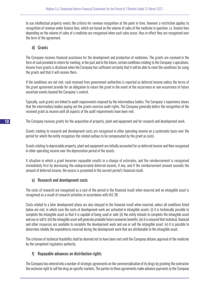to use intellectual property meets the criteria for revenue recognition at the point in time, however a restriction applies to recognition of revenue under licence fees, which are based on the volume of sales of the medicine in question, i.e. licence fees depending on the volume of sales of a medicine are recognised when such sales occur, thus in effect they are recognised over the term of the agreement.

## d) Grants

The Company receives financial assistance for the development and production of medicines. The grants are received in the form of cash provided in return for meeting, in the past and in the future, certain conditions relating to the Company's operations. Income from grants is disclosed when the Company has sufficient certainty that it will be able to meet the conditions for using the grants and that it will receive them.

If the conditions are not met, cash received from government authorities is reported as deferred income unless the terms of the grant agreement provide for an obligation to return the grant in the event of the occurrence or non-occurrence of future uncertain events beyond the Company's control.

Typically, such grants are linked to audit requirements imposed by the intermediary bodies. The Company's experience shows that the intermediary bodies paying out the grants exercise audit rights. The Company generally defers the recognition of the received grant as income until all aspects of the audit requirements have been met.

The Company receives grants for the acquisition of property, plant and equipment and for research and development work.

Grants relating to research and development costs are recognised in other operating income on a systematic basis over the period for which the entity recognises the related outlays to be compensated by the grant as costs.

Grants relating to depreciable property, plant and equipment are initially accounted for as deferred income and then recognised in other operating income over the depreciation period of the assets.

A situation in which a grant becomes repayable results in a change of estimates, and the reimbursement is recognised immediately first by decreasing the undepreciated deferred income, if any, and if the reimbursement amount exceeds the amount of deferred income, the excess is presented in the current period's financial result.

## e) Research and development costs

The costs of research are recognised as a cost of the period in the financial result when incurred and no intangible asset is recognised as a result of research activities in accordance with IAS 38.

Costs related to a later development phase are also charged to the financial result when incurred, unless all conditions listed below are met, in which case the costs of development work are activated in intangible assets: (i) it is technically possible to complete the intangible asset so that it is capable of being used or sold; (ii) the entity intends to complete the intangible asset and use or sell it; (iii) the intangible asset will generate probable future economic benefits; (iv) it is ensured that technical, financial and other resources are available to complete the development work and use or sell the intangible asset; (v) it is possible to determine reliably the expenditures incurred during the development work that are attributable to the intangible asset.

The criterion of technical feasibility shall be deemed not to have been met until the Company obtains approval of the medicine by the competent regulatory authority.

## f) Repayable advances on distribution rights

The Company has entered into a number of strategic agreements on the commercialisation of its drugs by granting the contractor the exclusive right to sell the drug on specific markets. The parties to these agreements make advance payments to the Company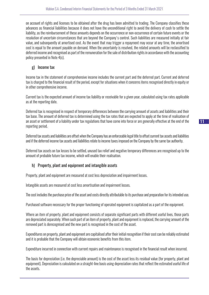on account of rights and licenses to be obtained after the drug has been admitted to trading. The Company classifies these advances as financial liabilities because it does not have the unconditional right to avoid the delivery of cash to settle the liability, as the reimbursement of these amounts depends on the occurrence or non-occurrence of certain future events or the resolution of uncertain circumstances that are beyond the Company's control. Such liabilities are measured initially at fair value, and subsequently at amortised cost. As the event that may trigger a repayment may occur at any time, the amortised cost is equal to the amount payable on demand. When the uncertainty is resolved, the related amounts will be reclassified to deferred income and recognised as part of the remuneration for the sale of distribution rights in accordance with the accounting policy presented in Note 4(c).

## g) Income tax

Income tax in the statement of comprehensive income includes the current part and the deferred part. Current and deferred tax is charged to the financial result of the period, except for situations when it concerns items recognised directly in equity or in other comprehensive income.

Current tax is the expected amount of income tax liability or receivable for a given year, calculated using tax rates applicable as at the reporting date.

Deferred tax is recognised in respect of temporary differences between the carrying amount of assets and liabilities and their tax base. The amount of deferred tax is determined using the tax rates that are expected to apply at the time of realisation of an asset or settlement of a liability under tax regulations that have come into force or are generally effective at the end of the reporting period.

Deferred tax assets and liabilities are offset when the Company has an enforceable legal title to offset current tax assets and liabilities and if the deferred income tax assets and liabilities relate to income taxes imposed on the Company by the same tax authority.

Deferred tax assets on tax losses to be settled, unused tax relief and negative temporary differences are recognised up to the amount of probable future tax income, which will enable their realisation.

## h) Property, plant and equipment and intangible assets

Property, plant and equipment are measured at cost less depreciation and impairment losses.

Intangible assets are measured at cost less amortisation and impairment losses.

The cost includes the purchase price of the asset and costs directly attributable to its purchase and preparation for its intended use.

Purchased software necessary for the proper functioning of operated equipment is capitalized as a part of the equipment.

Where an item of property, plant and equipment consists of separate significant parts with different useful lives, those parts are depreciated separately. When such part of an item of property, plant and equipment is replaced, the carrying amount of the removed part is derecognised and the new part is recognised in the cost of the asset.

Expenditures on property, plant and equipment are capitalised after their initial recognition if their cost can be reliably estimated and it is probable that the Company will obtain economic benefits from this item.

Expenditure incurred in connection with current repairs and maintenance is recognised in the financial result when incurred.

The basis for depreciation (i.e. the depreciable amount) is the cost of the asset less its residual value (for property, plant and equipment). Depreciation is calculated on a straight-line basis using depreciation rates that reflect the estimated useful life of the assets.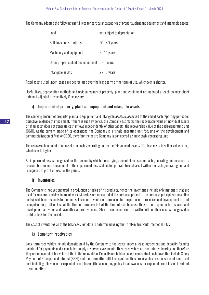The Company adopted the following useful lives for particular categories of property, plant and equipment and intangible assets:

| Land                                            | not subject to depreciation |
|-------------------------------------------------|-----------------------------|
| <b>Buildings and structures</b>                 | $20 - 40$ years             |
| Machinery and equipment                         | $2 - 14$ years              |
| Other property, plant and equipment 5 - 7 years |                             |
| Intangible assets                               | $2 - 15$ years              |

Fixed assets used under leases are depreciated over the lease term or the term of use, whichever is shorter.

Useful lives, depreciation methods and residual values of property, plant and equipment are updated at each balance-sheet date and adjusted prospectively if necessary.

## i) Impairment of property, plant and equipment and intangible assets

The carrying amount of property, plant and equipment and intangible assets is assessed at the end of each reporting period for objective evidence of impairment. If there is such evidence, the Company estimates the recoverable value of individual assets or, if an asset does not generate cash inflows independently of other assets, the recoverable value of the cash-generating unit (CGU). At the current stage of its operations, the Company is a single operating unit focusing on the development and commercialization of MabionCD20, therefore the entire Company is considered a single cash-generating unit.

The recoverable amount of an asset or a cash-generating unit is the fair value of assets/CGU less costs to sell or value in use, whichever is higher.

An impairment loss is recognised for the amount by which the carrying amount of an asset or cash-generating unit exceeds its recoverable amount. The amount of the impairment loss is allocated pro rata to each asset within the cash-generating unit and recognised in profit or loss for the period.

## j) Inventories

The Company is not yet engaged in production or sales of its products, hence the inventories include only materials that are used for research and development work. Materials are measured at the purchase price (i.e. the purchase price plus transaction costs), which corresponds to their net sales value. Inventories purchased for the purposes of research and development are not recognised in profit or loss at the time of purchase but at the time of use, because they are not specific to research and development activities and have other alternative uses. Short-term inventories are written off and their cost is recognised in profit or loss for the period.

The cost of inventories as at the balance-sheet date is determined using the "first-in, first-out" method (FIFO).

## k) Long-term receivables

Long-term receivables include deposits paid by the Company to the lessor under a lease agreement and deposits forming collateral for payments under concluded supply or service agreements. These receivables are non-interest bearing and therefore they are measured at fair value at the initial recognition. Deposits are held to collect contractual cash flows that include Solely Payment of Principal and Interest (SPPI) and therefore after initial recognition, these receivables are measured at amortised cost including allowance for expected credit losses (the accounting policy for allowances for expected credit losses is set out in section 4(v)).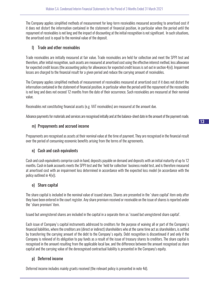The Company applies simplified methods of measurement for long-term receivables measured according to amortised cost if it does not distort the information contained in the statement of financial position, in particular when the period until the repayment of receivables is not long and the impact of discounting at the initial recognition is not significant. In such situations, the amortised cost is equal to the nominal value of the deposit.

## l) Trade and other receivables

Trade receivables are initially measured at fair value. Trade receivables are held for collection and meet the SPPI test and therefore, after initial recognition, such assets are measured at amortised cost using the effective interest method, less allowance for expected credit losses (the accounting policy for allowances for expected credit losses is set out in section 4(v)). Impairment losses are charged to the financial result for a given period and reduce the carrying amount of receivables.

The Company applies simplified methods of measurement of receivables measured at amortized cost if it does not distort the information contained in the statement of financial position, in particular when the period until the repayment of the receivables is not long and does not exceed 12 months from the date of their occurrence. Such receivables are measured at their nominal value.

Receivables not constituting financial assets (e.g. VAT receivables) are measured at the amount due.

Advance payments for materials and services are recognised initially and at the balance-sheet date in the amount of the payment made.

## m) Prepayments and accrued income

Prepayments are recognised as assets at their nominal value at the time of payment. They are recognised in the financial result over the period of consuming economic benefits arising from the terms of the agreements.

## n) Cash and cash equivalents

Cash and cash equivalents comprise cash in hand, deposits payable on demand and deposits with an initial maturity of up to 12 months. Cash in bank accounts meets the SPPI test and the 'held for collection' business model test, and is therefore measured at amortised cost with an impairment loss determined in accordance with the expected loss model (in accordance with the policy outlined in 4(v)).

## o) Share capital

The share capital is included in the nominal value of issued shares. Shares are presented in the 'share capital' item only after they have been entered in the court register. Any share premium received or receivable on the issue of shares is reported under the 'share premium' item.

Issued but unregistered shares are included in the capital in a separate item as 'issued but unregistered share capital'.

Each issue of Company's capital instruments addressed to creditors for the purpose of waiving all or part of the Company's financial liabilities, where the creditors are (direct or indirect) shareholders who at the same time act as shareholders, is settled by transferring the carrying amount of the debt to the Company's equity. Debt recognition is discontinued if and only if the Company is relieved of its obligation to pay funds as a result of the issue of treasury shares to creditors. The share capital is recognised in the amount resulting from the applicable local law, and the difference between the amount recognised as share capital and the carrying value of the derecognised contractual liability is presented in the Company's equity.

## p) Deferred income

Deferred income includes mainly grants received (the relevant policy is presented in note 4d).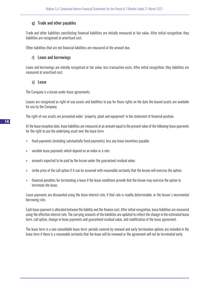## q) Trade and other payables

Trade and other liabilities constituting financial liabilities are initially measured at fair value. After initial recognition, they liabilities are recognised at amortised cost.

Other liabilities that are not financial liabilities are measured at the amount due.

## r) Loans and borrowings

Loans and borrowings are initially recognised at fair value, less transaction costs. After initial recognition, they liabilities are measured at amortised cost.

#### s) Lease

The Company is a lessee under lease agreements.

Leases are recognised as right-of-use assets and liabilities to pay for those rights on the date the leased assets are available for use by the Company.

The right-of-use assets are presented under 'property, plant and equipment' in the statement of financial position.

At the lease inception date, lease liabilities are measured at an amount equal to the present value of the following lease payments for the right to use the underlying asset over the lease term:

- » fixed payments (including substantially fixed payments), less any lease incentives payable;
- » variable lease payments which depend on an index or a rate;
- » amounts expected to be paid by the lessee under the guaranteed residual value;
- » strike price of the call option if it can be assumed with reasonable certainty that the lessee will exercise the option;
- » financial penalties for terminating a lease if the lease conditions provide that the lessee may exercise the option to terminate the lease.

Lease payments are discounted using the lease interest rate, if that rate is readily determinable, or the lessee's incremental borrowing rate.

Each lease payment is allocated between the liability and the finance cost. After initial recognition, lease liabilities are measured using the effective interest rate. The carrying amounts of the liabilities are updated to reflect the change in the estimated lease term, call option, change in lease payments and guaranteed residual value, and modification of the lease agreement.

The lease term is a non-cancellable lease term; periods covered by renewal and early termination options are included in the lease term if there is a reasonable certainty that the lease will be renewed or the agreement will not be terminated early.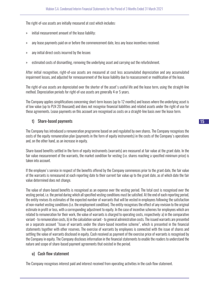The right-of-use assets are initially measured at cost which includes:

- » initial measurement amount of the lease liability;
- » any lease payments paid on or before the commencement date, less any lease incentives received;
- » any initial direct costs incurred by the lessee;
- » estimated costs of dismantling, removing the underlying asset and carrying out the refurbishment.

After initial recognition, right-of-use assets are measured at cost less accumulated depreciation and any accumulated impairment losses, and adjusted for remeasurement of the lease liability due to reassessment or modification of the lease.

The right-of-use assets are depreciated over the shorter of the asset's useful life and the lease term, using the straight-line method. Depreciation periods for right-of-use assets are generally 4 or 5 years.

The Company applies simplifications concerning short-term leases (up to 12 months) and leases where the underlying asset is of low value (up to PLN 20 thousand) and does not recognise financial liabilities and related assets under the right of use for these agreements. Lease payments on this account are recognised as costs on a straight-line basis over the lease term.

## t) Share-based payments

The Company has introduced a remuneration programme based on and regulated by own shares. The Company recognises the costs of the equity remuneration plan (payments in the form of equity instruments) in the costs of the Company's operations and, on the other hand, as an increase in equity.

Share-based benefits settled in the form of equity instruments (warrants) are measured at fair value at the grant date. In the fair value measurement of the warrants, the market condition for vesting (i.e. shares reaching a specified minimum price) is taken into account.

If the employee's service in respect of the benefits offered by the Company commences prior to the grant date, the fair value of the warrants is remeasured at each reporting date to their current fair value up to the grant date, as of which date the fair value determined does not change.

The value of share-based benefits is recognised as an expense over the vesting period. The total cost is recognised over the vesting period, i.e. the period during which all specified vesting conditions must be satisfied. At the end of each reporting period, the entity revises its estimates of the expected number of warrants that will be vested in employees following the satisfaction of non-market vesting conditions (i.e. the employment condition). The entity recognises the effect of any revision to the original estimate in profit or loss, with a corresponding adjustment to equity. In the case of incentive schemes for employees which are related to remuneration for their work, the value of warrants is charged to operating costs, respectively: a) in the comparative variant - to remuneration costs, b) in the calculation variant - to general administration costs. The issued warrants are presented on a separate account "Issue of warrants under the share-based incentive scheme", which is presented in the financial statements together with other reserves. The exercise of warrants by employees is connected with the issue of shares and settling the value of warrants disclosed in equity. Cash received as payment of the exercise price of warrants is recognised by the Company in equity. The Company discloses information in the financial statements to enable the readers to understand the nature and scope of share-based payment agreements that existed in the period.

#### u) Cash flow statement

The Company recognises interest paid and interest received from operating activities in the cash flow statement.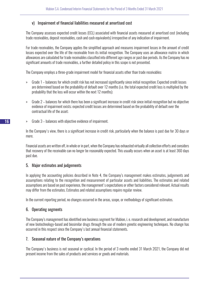## v) Impairment of financial liabilities measured at amortised cost

The Company assesses expected credit losses (ECL) associated with financial assets measured at amortised cost (including trade receivables, deposit receivables, cash and cash equivalents) irrespective of any indication of impairment.

For trade receivables, the Company applies the simplified approach and measures impairment losses in the amount of credit losses expected over the life of the receivable from its initial recognition. The Company uses an allowance matrix in which allowances are calculated for trade receivables classified into different age ranges or past due periods. As the Company has no significant amounts of trade receivables, a further detailed policy in this scope is not presented.

The Company employs a three-grade impairment model for financial assets other than trade receivables:

- » Grade 1 balances for which credit risk has not increased significantly since initial recognition; Expected credit losses are determined based on the probability of default over 12 months (i.e. the total expected credit loss is multiplied by the probability that the loss will occur within the next 12 months);
- » Grade 2 balances for which there has been a significant increase in credit risk since initial recognition but no objective evidence of impairment exists; expected credit losses are determined based on the probability of default over the contractual life of the asset;
- » Grade 3 balances with objective evidence of impairment.

In the Company's view, there is a significant increase in credit risk, particularly when the balance is past due for 30 days or more.

Financial assets are written off, in whole or in part, when the Company has exhausted virtually all collection efforts and considers that recovery of the receivable can no longer be reasonably expected. This usually occurs when an asset is at least 360 days past due.

## 5. Major estimates and judgements

In applying the accounting policies described in Note 4, the Company's management makes estimates, judgements and assumptions relating to the recognition and measurement of particular assets and liabilities. The estimates and related assumptions are based on past experience, the management's expectations or other factors considered relevant. Actual results may differ from the estimates. Estimates and related assumptions require regular review.

In the current reporting period, no changes occurred in the areas, scope, or methodology of significant estimates.

## 6. Operating segments

The Company's management has identified one business segment for Mabion, i. e. research and development, and manufacture of new biotechnology-based and biosimilar drugs through the use of modern genetic engineering techniques. No change has occurred in this respect since the Company's last annual financial statements.

## 7. Seasonal nature of the Company's operations

The Company's business is not seasonal or cyclical. In the period of 3 months ended 31 March 2021, the Company did not present income from the sales of products and services or goods and materials.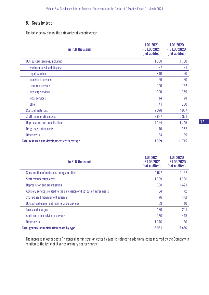## 8. Costs by type

The table below shows the categories of generic costs:

| in PLN thousand                              | 1.01.2021<br>$-31.03.2021$<br>(not audited) | 1.01.2020<br>$-31.03.2020$<br>(not audited) |
|----------------------------------------------|---------------------------------------------|---------------------------------------------|
| Outsourced services, including:              | 1508                                        | 1750                                        |
| waste removal and disposal                   | 97                                          | 91                                          |
| repair services                              | 410                                         | 320                                         |
| analytical services                          | 56                                          | 60                                          |
| research services                            | 190                                         | 162                                         |
| advisory services                            | 700                                         | 759                                         |
| legal services                               | 14                                          | 78                                          |
| other                                        | 41                                          | 280                                         |
| Costs of materials                           | 2076                                        | 4 9 5 7                                     |
| <b>Staff remuneration costs</b>              | 2887                                        | 2971                                        |
| Depreciation and amortisation                | 1 1 9 4                                     | 1246                                        |
| Drug registration costs                      | 110                                         | 652                                         |
| Other costs                                  | 34                                          | 139                                         |
| Total research and development costs by type | 7809                                        | 11715                                       |

| in PLN thousand                                                        | 1.01.2021<br>$-31.03.2021$<br>(not audited) | 1.01.2020<br>$-31.03.2020$<br>(not audited) |
|------------------------------------------------------------------------|---------------------------------------------|---------------------------------------------|
| Consumption of materials, energy, utilities                            | 1077                                        | 1 1 5 7                                     |
| <b>Staff remuneration costs</b>                                        | 1889                                        | 1966                                        |
| Depreciation and amortisation                                          | 988                                         | 1421                                        |
| Advisory services related to the conclusion of distribution agreements | 164                                         | 42                                          |
| Share-based management scheme                                          | 76                                          | (16)                                        |
| Outsourced equipment maintenance services                              | 69                                          | 110                                         |
| <b>Taxes and charges</b>                                               | 186                                         | 201                                         |
| Audit and other advisory services                                      | 156                                         | 415                                         |
| Other costs                                                            | 1346                                        | 160                                         |
| Total general administration costs by type                             | 5951                                        | 5456                                        |

The increase in other costs (in general administration costs by type) is related to additional costs incurred by the Company in relation to the issue of U series ordinary bearer shares.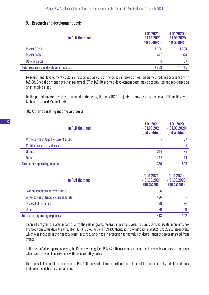#### 9. Research and development costs

| in PLN thousand                             | 1.01.2021<br>$-31.03.2021$<br>(not audited) | 1.01.2020<br>$-31.03.2020$<br>(not audited) |
|---------------------------------------------|---------------------------------------------|---------------------------------------------|
| MabionCD20                                  | 7 3 8 6                                     | 11 2 3 4                                    |
| <b>MabionEGFR</b>                           | 415                                         | 374                                         |
| Other projects                              | 8                                           | 107                                         |
| <b>Total research and development costs</b> | 7809                                        | 11 715                                      |

Research and development costs are recognised as cost of the period in profit or loss when incurred, in accordance with IAS 38. Once the criteria set out in paragraph 57 of IAS 38 are met, development costs may be capitalised and recognised as an intangible asset.

In the period covered by these financial statements, the only R&D projects in progress that received EU funding were MabionCD20 and MabionEGFR.

#### 10. Other operating income and costs

| in PLN thousand                        | 1.01.2021<br>$-31.03.2021$<br>(not audited) | 1.01.2020<br>$-31.03.2020$<br>(not audited) |
|----------------------------------------|---------------------------------------------|---------------------------------------------|
| Write-downs of tangible current assets |                                             | 87                                          |
| Profit on sales of fixed assets        |                                             |                                             |
| Grants                                 | 318                                         | 493                                         |
| <b>Other</b>                           | 12                                          | 14                                          |
| <b>Total other operating income</b>    | 330                                         | 595                                         |

| in PLN thousand                        | 1.01.2021<br>$-31.03.2021$<br>(niebadane) | 1.01.2020<br>$-31.03.2020$<br>(niebadane) |
|----------------------------------------|-------------------------------------------|-------------------------------------------|
| Loss on liquidation of fixed assets    | 6                                         |                                           |
| Write-downs of tangible current assets | 426                                       |                                           |
| <b>Disposal of materials</b>           | 190                                       | 94                                        |
| <b>Other</b>                           | 26                                        |                                           |
| <b>Total other operating expenses</b>  | 648                                       | 102                                       |

Income from grants relates in particular to the part of grants received in previous years to purchase fixed assets in projects cofinanced from EU funds, in the amount of PLN 318 thousand and PLN 493 thousand in the first quarter of 2021 and 2020, respectively, which was included in the financial result in particular periods in proportion to the value of depreciation of assets financed from grants.

In the item of other operating costs, the Company recognised PLN 426 thousand as an impairment loss on inventories of materials which were created in accordance with the accounting policy.

The disposal of materials in the amount of PLN 190 thousand relates to the liquidation of materials after their expiry date for materials that are not suitable for alternative use.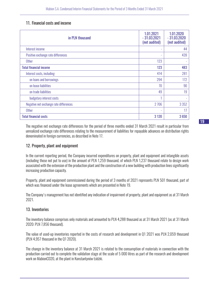## 11. Financial costs and income

| in PLN thousand                        | 1.01.2021<br>$-31.03.2021$<br>(not audited) | 1.01.2020<br>$-31.03.2020$<br>(not audited) |
|----------------------------------------|---------------------------------------------|---------------------------------------------|
| Interest income                        | ۰                                           | 44                                          |
| Positive exchange rate differences     | ۰                                           | 439                                         |
| <b>Other</b>                           | 123                                         |                                             |
| <b>Total financial income</b>          | 123                                         | 483                                         |
| Interest costs, including:             | 414                                         | 281                                         |
| on loans and borrowings                | 294                                         | 172                                         |
| on lease liabilities                   | 70                                          | 90                                          |
| on trade liabilities                   | 49                                          | 19                                          |
| budgetary interest costs               |                                             |                                             |
| Negative net exchange rate differences | 2 7 0 6                                     | 3 3 5 2                                     |
| <b>Other</b>                           | ۰                                           | 17                                          |
| <b>Total financial costs</b>           | 3 1 2 0                                     | 3650                                        |

The negative net exchange rate differences for the period of three months ended 31 March 2021 result in particular from unrealized exchange rate differences relating to the measurement of liabilities for repayable advances on distribution rights denominated in foreign currencies, as described in Note 17.

## 12. Property, plant and equipment

In the current reporting period, the Company incurred expenditures on property, plant and equipment and intangible assets (including those not put to use) in the amount of PLN 1,259 thousand, of which PLN 1,237 thousand relate to design work associated with the extension of the production plant and the construction of a new building with production lines significantly increasing production capacity.

Property, plant and equipment commissioned during the period of 3 months of 2021 represents PLN 501 thousand, part of which was financed under the lease agreements which are presented in Note 19.

The Company's management has not identified any indication of impairment of property, plant and equipment as at 31 March 2021.

## 13. Inventories

The inventory balance comprises only materials and amounted to PLN 4,288 thousand as at 31 March 2021 (as at 31 March 2020: PLN 7,856 thousand).

The value of used-up inventories reported in the costs of research and development in Q1 2021 was PLN 2,059 thousand (PLN 4,957 thousand in the Q1 2020).

The change in the inventory balance at 31 March 2021 is related to the consumption of materials in connection with the production carried out to complete the validation stage at the scale of 5 000 litres as part of the research and development work on MabionCD20, at the plant in Konstantynów Łódzki.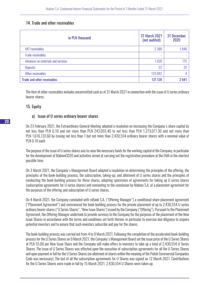## 14. Trade and other receivables

| in PLN thousand                    | 31 March 2021<br>(not audited) | 31 December<br>2020 |
|------------------------------------|--------------------------------|---------------------|
| VAT receivables                    | 2 3 8 8                        | 1840                |
| <b>Trade receivables</b>           | ۰                              |                     |
| Advances on materials and services | 1028                           | 775                 |
| <b>Deposits</b>                    | 22                             | 22                  |
| Other receivables                  | 133 682                        | 4                   |
| <b>Trade and other receivables</b> | 137 120                        | 2641                |

The item of other receivables includes uncommitted cash as of 31 March 2021 in connection with the issue of U series ordinary bearer shares.

## 15. Equity

## a) Issue of U series ordinary bearer shares

On 23 February 2021, the Extraordinary General Meeting adopted a resolution on increasing the Company's share capital by not less than PLN 0.10 and not more than PLN 243,055.40 to not less than PLN 1,373,077.30 and not more than PLN 1,616,132.60 by issuing not less than 1 but not more than 2,430,554 ordinary bearer shares with a nominal value of PLN 0.10 each.

The purpose of the issue of U series shares was to raise the necessary funds for the working capital of the Company, in particular for the development of MabionCD20 and activities aimed at carrying out the registration procedure at the EMA in the shortest possible time.

On 3 March 2021, the Company's Management Board adopted a resolution on determining the principles of the offering, the principles of the book-building process, the subscription, taking-up, and allotment of U series shares and the principles of conducting the book-building process for these shares, adopting specimens of agreements for taking up U series shares (subscription agreements for U series shares) and consenting to the conclusion by Mabion S.A. of a placement agreement for the purposes of the offering and subscription of U series shares.

On 4 March 2021, the Company concluded with mBank S.A. ("Offering Manager") a conditional share placement agreement ("Placement Agreement") and commenced the book-building process for the private placement of up to 2,430,554 U series ordinary bearer shares ("U Series Shares", "New Issue Shares") issued by the Company ("Offering"). Pursuant to the Placement Agreement, the Offering Manager undertook to provide services to the Company for the purposes of the placement of the New Issue Shares in accordance with the terms and conditions set forth therein, in particular to exercise due diligence to acquire potential investors and to ensure that such investors subscribe and pay for the shares.

The book-building process was carried out from 4 to 9 March 2021. Following the completion of the accelerated book-building process for the U Series Shares on 9 March 2021, the Company's Management Board set the issue price of the U Series Shares at PLN 55.00 per New Issue Share and the Company will make offers to investors to take up a total of 2,430,554 U Series Shares. The issue of U Series Shares was effected upon the execution of subscription agreements for all the U Series Shares and upon payment in full for the U Series Shares (no allotment of shares within the meaning of the Polish Commercial Companies Code was necessary). The last of all the subscription agreements for U Shares was signed on 12 March 2021. Contributions for the U Series Shares were made in full by 15 March 2021. 2,430,554 U Shares were taken up.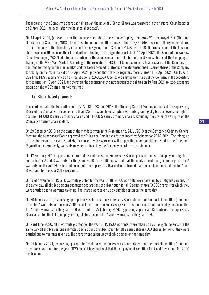The increase in the Company's share capital through the issue of U Series Shares was registered in the National Court Register on 2 April 2021 (an event after the balance-sheet date).

On 14 April 2021, (an event after the balance-sheet date) the Krajowy Depozyt Papierów Wartościowych S.A. (National Depository for Securities, "NDS") issued a statement on conditional registration of 2,430,554 U series ordinary bearer shares of the Company in the depository of securities, assigning them ISIN code PLMBION00016. The registration of the U series shares was conditional upon their introduction to trading on the regulated market. On 14 April 2021, the Board of the Warsaw Stock Exchange ("WSE") adopted a resolution on the admission and introduction of the U series shares of the Company to trading on the WSE Main Market. According to the resolution, 2,430,554 U series ordinary bearer shares of the Company are admitted to trading on the main market and the Board decided to introduce the aforementioned U series shares of the Company to trading on the main market on 19 April 2021, provided that the NDS registers these shares on 19 April 2021. On 15 April 2021, the NDS issued a notice on the registration of 2,430,554 U series ordinary bearer shares of the Company in the depository for securities on 19 April 2021, and therefore the condition for the introduction of the shares on 19 April 2021 to stock exchange trading on the WSE's main market was met.

## b) Share-based payments

In accordance with the Resolution no 25/VI/2018 of 28 June 2018, the Ordinary General Meeting authorised the Supervisory Board of the Company to issue no more than 125 000 A and B subscription warrants, granting eligible employees the right to acquire 114 000 R series ordinary shares and 11 000 S series ordinary shares, excluding the pre-emptive rights of the Company's current shareholders.

On 29 December 2018, on the basis of the mandate given in the Resolution No. 24/VI/2018 of the Company's Ordinary General Meeting, the Supervisory Board approved the Rules and Regulations for the Incentive Scheme for 2018-2021. The taking-up of the shares and the exercise of rights carried by the warrants will be possible upon conditions listed in the Rules and Regulations. Alternatively, warrants may be purchased by the Company in order to be redeemed.

On 12 February 2019, by passing appropriate Resolutions, the Supervisory Board approved the list of employees eligible to subscribe for A and B warrants for the years 2018 and 2019, and stated that the market condition (minimum price) for A warrants for the year 2018 has not been met. The Supervisory Board also confirmed that the employment condition for A and B warrants for the year 2018 were met.

On 18 of November 2019, all B warrants granted for the year 2018 (9,500 warrants) were taken up by all eligible persons. On the same day, all eligible persons submitted declarations of subscription for all S series shares (9,500 shares) for which they were entitled due to warrants taken up. The shares were taken up by eligible person on the same day.

On 30 January 2020, by passing appropriate Resolutions, the Supervisory Board stated that the market condition (minimum price) for A warrants for the year 2019 has not been met. The Supervisory Board also confirmed that the employment condition for A and B warrants for the year 2019 were met. On 27 February 2020, by passing appropriate Resolutions, the Supervisory Board accepted the list of employees eligible to subscribe for A and B warrants for the year 2020.

On 23rd June 2020, all B warrants granted for the year 2019 (500 warrants) were taken up by all eligible persons. On the same da,y all eligible persons submitted declarations of subscription for all S series shares (500 shares) for which they were entitled due to warrants taken up. The shares were taken up by eligible person on the same day.

On 25 January 2021, by passing appropriate Resolutions, the Supervisory Board stated that the market condition (minimum price) for A warrants for the year 2020 has not been met and that the employment condition for A and B warrants for 2020 has been met.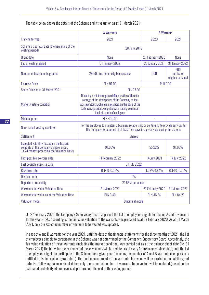The table below shows the details of the Scheme and its valuation as at 31 March 2021:

|                                                                                                                                      | <b>A Warrants</b><br><b>B</b> Warrants                                                                                                                                                                                                                   |                                                |                        |
|--------------------------------------------------------------------------------------------------------------------------------------|----------------------------------------------------------------------------------------------------------------------------------------------------------------------------------------------------------------------------------------------------------|------------------------------------------------|------------------------|
| <b>Tranche for year</b>                                                                                                              | 2021                                                                                                                                                                                                                                                     | 2020                                           | 2021                   |
| Scheme's approval date (the beginning of the<br>vesting period)                                                                      | 28 June 2018                                                                                                                                                                                                                                             |                                                |                        |
| <b>Grant date</b>                                                                                                                    | None                                                                                                                                                                                                                                                     | 27 February 2020                               | None                   |
| End of vesting period                                                                                                                | <b>31 January 2022</b>                                                                                                                                                                                                                                   | <b>25 January 2021</b>                         | <b>31 January 2022</b> |
| Number of instruments granted                                                                                                        | 28 500 (no list of eligible persons)                                                                                                                                                                                                                     | 500<br>500<br>(no list of<br>eligible persons) |                        |
| <b>Exercise Price</b>                                                                                                                | <b>PLN 91.00</b>                                                                                                                                                                                                                                         | <b>PLN 0.10</b>                                |                        |
| Share Price as at 31 March 2021                                                                                                      | <b>PLN 77.30</b>                                                                                                                                                                                                                                         |                                                |                        |
| Market vesting condition                                                                                                             | Reaching a minimum price defined as the arithmetic<br>average of the stock prices of the Company on the<br>Warsaw Stock Exchange, calculated on the basis of the<br>daily average prices weighted with trading volume, in<br>the last month of each year |                                                |                        |
| <b>Minimal price</b>                                                                                                                 | <b>PLN 400.00</b>                                                                                                                                                                                                                                        | L                                              |                        |
| Non-market vesting condition                                                                                                         | For the employee to maintain a business relationship or continuing to provide services for<br>the Company for a period of at least 183 days in a given year during the Scheme                                                                            |                                                |                        |
| <b>Settlement</b>                                                                                                                    | <b>Shares</b>                                                                                                                                                                                                                                            |                                                |                        |
| Expected volatility (based on the historic<br>volatility of the Company's share prices<br>in 24 months preceding the Valuation Date) | 91.68%                                                                                                                                                                                                                                                   | 55.22%                                         | 91.68%                 |
| First possible exercise date                                                                                                         | 14 February 2022                                                                                                                                                                                                                                         | 14 July 2021                                   | 14 July 2022           |
| Last possible exercise date                                                                                                          | 31 July 2022                                                                                                                                                                                                                                             |                                                |                        |
| Risk-free rate                                                                                                                       | $0.14\% - 0.25\%$                                                                                                                                                                                                                                        | 1.23%-1,84%                                    | $0.14\% - 0.25\%$      |
| <b>Dividend rate</b>                                                                                                                 | $0\%$                                                                                                                                                                                                                                                    |                                                |                        |
| Departure probability                                                                                                                | 21.58% per annum                                                                                                                                                                                                                                         |                                                |                        |
| Warrant's fair value Valuation Date                                                                                                  | 31 March 2021<br>27 February 2020                                                                                                                                                                                                                        |                                                | 31 March 2021          |
| Warrant's fair value as at the Valuation Date                                                                                        | <b>PLN 3.40</b>                                                                                                                                                                                                                                          | <b>PLN 46.24</b>                               | <b>PLN 84.29</b>       |
| <b>Valuation model</b>                                                                                                               | <b>Binominal model</b>                                                                                                                                                                                                                                   |                                                |                        |

On 27 February 2020, the Company's Supervisory Board approved the list of employees eligible to take up A and B warrants for the year 2020. Accordingly, the fair value valuation of the warrants was prepared as at 27 February 2020. As at 31 March 2021, only the expected number of warrants to be vested was updated.

In case of A and B warrants for the year 2021, until the date of the financial statements for the three months of 2021, the list of employees eligible to participate in the Scheme was not determined by the Company's Supervisory Board. Accordingly, the fair value valuation of these warrants (including the market condition) was carried out as at the balance-sheet date (i.e. 31 March 2021) The fair value measurement of these warrants will be updated as at every future balance-sheet date, until the list of employees eligible to participate in the Scheme for a given year (including the number of A and B warrants each person is entitled to) is determined (grant date). The final measurement of the warrants' fair value will be carried out as at the grant date. For following balance-sheet dates, only the expected number of warrants to be vested will be updated (based on the estimated probability of employees' departure until the end of the vesting period).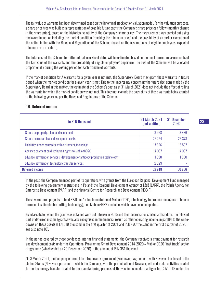The fair value of warrants has been determined based on the binominal stock option valuation model. For the valuation purposes, a share price tree was built as a representation of possible future paths the Company's share price can follow (monthly change in the share price), based on the historical volatility of the Company's share prices. The measurement was carried out using backward induction including the market condition (reaching the minimum price) and the possibility of an earlier execution of the option in line with the Rules and Regulations of the Scheme (based on the assumptions of eligible employees' expected minimum rate of return).

The total cost of the Scheme for different balance-sheet dates will be estimated based on the most current measurements of the fair value of the warrants and the probability of eligible employees' departure. The cost of the Scheme will be allocated proportionally during the vesting period for each tranche of warrants.

If the market condition for A warrants for a given year is not met, the Supervisory Board may grant these warrants in future period when the market condition for a given year is met. Due to the uncertainty concerning the future decisions made by the Supervisory Board in this matter, the estimate of the Scheme's cost as at 31 March 2021 does not include the effect of rolling the warrants for which the market condition was not met. This does not exclude the possibility of these warrants being granted in the following years, as per the Rules and Regulations of the Scheme.

| in PLN thousand                                                             | <b>31 March 2021</b><br>(not audited) | 31 December<br>2020 |
|-----------------------------------------------------------------------------|---------------------------------------|---------------------|
| Grants on property, plant and equipment                                     | 8568                                  | 8886                |
| Grants on research and development costs                                    | 26 7 24                               | 26 373              |
| Liabilities under contracts with customers, including:                      | 17626                                 | 15 597              |
| Advance payment on distribution rights to MabionCD20                        | 14 007                                | 14 007              |
| advance payment on services (development of antibody production technology) | 590                                   | 1590                |
| advance payment on technology transfer services                             | 2029                                  |                     |
| <b>Deferred income</b>                                                      | 52 918                                | 50 856              |

## 16. Deferred income

In the past, the Company financed part of its operations with grants from the European Regional Development Fund managed by the following government institutions in Poland: the Regional Development Agency of Łódź (ŁARR), the Polish Agency for Enterprise Development (PARP) and the National Centre for Research and Development (NCBiR).

These were three projects to fund R&D and/or implementation of MabionCD20, a technology to produce analogues of human hormone insulin (double cutting technology), and MabionHER2 medicine, which have been completed.

Fixed assets for which the grant was obtained were put into use in 2015 and their depreciation started at that date. The relevant part of deferred income (grants) was also recognised in the financial result, as other operating income, in parallel to the writedowns on these assets (PLN 318 thousand in the first quarter of 2021 and PLN 493 thousand in the first quarter of 2020 – see also note 10).

In the period covered by these condensed interim financial statements, the Company received a grant payment for research and development costs under the Operational Programme Smart Development 2014-2020 – MabionCD20 "fast track" sector programme (which ended on 29 December 2020) in the amount of PLN 351 thousand.

On 3 March 2021, the Company entered into a framework agreement (Framework Agreement) with Novavax, Inc. based in the United States (Novavax), pursuant to which the Company, with the participation of Novavax, will undertake activities related to the technology transfer related to the manufacturing process of the vaccine candidate antigen for COVID-19 under the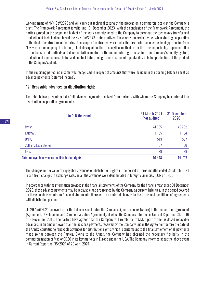working name of NVX-CoV2373 and will carry out technical testing of the process on a commercial scale at the Company's plant. The Framework Agreement is valid until 31 December 2023. With the conclusion of the Framework Agreement, the parties agreed on the scope and budget of the work commissioned to the Company to carry out the technology transfer and production of technical batches of the NVX-CoV2373 protein antigen. These are standard activities when starting cooperation in the field of contract manufacturing. The scope of contracted work under the first order includes technology transfer from Novavax to the Company. In addition, it includes: qualification of analytical methods after the transfer, including implementation of the transferred methods and documentation related to the manufacturing process into the Company's quality system, production of one technical batch and one test batch, being a confirmation of repeatability in batch production, of the product in the Company's plant.

In the reporting period, no income was recognised in respect of amounts that were included in the opening balance sheet as advance payments (deferred income).

## 17. Repayable advances on distribution rights

The table below presents a list of all advance payments received from partners with whom the Company has entered into distribution cooperation agreements:

| in PLN thousand                                 | 31 March 2021<br>(not audited) | 31 December<br>2020 |
|-------------------------------------------------|--------------------------------|---------------------|
| Mylan                                           | 44 635                         | 42 282              |
| <b>FARMAK</b>                                   | 1165                           | 1154                |
| ONKO                                            | 513                            | 507                 |
| Sothema Laboratories                            | 107                            | 106                 |
| Lyfis                                           | 28                             | 28                  |
| Total repayable advances on distribution rights | 46 448                         | 44 077              |

The changes in the value of repayable advances on distribution rights in the period of three months ended 31 March 2021 result from changes in exchange rates as all the advances were denominated in foreign currencies (EUR or USD).

In accordance with the information provided in the financial statements of the Company for the financial year ended 31 December 2020, these advance payments may be repayable and are treated by the Company as current liabilities. In the period covered by these condensed interim financial statements, there were no material changes to the terms and conditions of agreements with distribution partners.

On 29 April 2021 (an event after the balance-sheet date), the Company signed an annex (Annex) to the cooperation agreement (Agreement, Development and Commercialization Agreement), of which the Company informed in Current Report no. 31/2016 of 8 November 2016. The parties have agreed that the Company will reimburse to Mylan part of the disclosed repayable advances, in an amount lower than the advance payments received by the Company under the Agreement before the date of the Annex, constituting repayable advances for distribution rights, which is tantamount to the final settlement of all payments made so far between the Parties. Owing to the Annex, the Company has obtained the necessary flexibility in the commercialization of MabionCD20 in its key markets in Europe and in the USA. The Company informed about the above event in Current Report no. 35/2021 of 29 April 2021.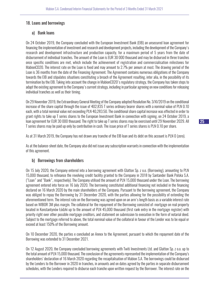## 18. Loans and borrowings

## a) Bank loans

On 24 October 2019, the Company concluded with the European Investment Bank (EIB) an unsecured loan agreement for financing the implementation of investment and research and development projects, including the development of the Company's research and development infrastructure and production capacity, for a maximum period of 5 years from the date of disbursement of individual tranches. The amount of the Loan is EUR 30 000 thousand and may be disbursed in three tranches once specific conditions are met, which include the achievement of registration and commercialisation milestones for MabionCD20. The interest rate on the Loan is fixed and may amount to 2.7% per annum at most. The drawing period of the Loan is 36 months from the date of the Financing Agreement. The Agreement contains numerous obligations of the Company towards the EIB and stipulates situations constituting a breach of the Agreement resulting, inter alia, in the possibility of its termination by the EIB. Taking into account the change in MabionCD20's regulatory strategy, the Company has taken steps to adapt the existing agreement to the Company's current strategy, including in particular agreeing on new conditions for releasing individual tranches as well as their timing.

On 29 November 2019, the Extraordinary General Meeting of the Company adopted Resolution No. 3/XI/2019 on the conditional increase of the share capital through the issue of 402,835 T series ordinary bearer shares with a nominal value of PLN 0.10 each, with a total nominal value not exceeding PLN 40,283.50. The conditional share capital increase was effected in order to grant rights to take up T series shares to the European Investment Bank in connection with signing, on 24 October 2019, a loan agreement for EUR 30 000 thousand. The right to take up T series shares may be exercised until 29 November 2029. All T series shares may be paid up only by contribution in cash. The issue price of T series shares is PLN 0.10 per share.

As at 31 March 2019, the Company has not drawn any tranche of the EIB loan and its debt on this account is PLN 0 (zero).

As at the balance-sheet date, the Company also did not issue any subscription warrants in connection with the implementation of this agreement.

## b) Borrowings from shareholders

On 15 July 2020, the Company entered into a borrowing agreement with Glatton Sp. z o.o. (Borrowing), amounting to PLN 15,000 thousand, to refinance the revolving credit facility granted to the Company in 2018 by Santander Bank Polska S.A. ("Loan" and "Bank", respectively). The Company utilised the amount of PLN 15,000 thousand under the Loan. The borrowing agreement entered into force on 16 July 2020. The borrowing constituted additional financing not included in the financing declared on 16 March 2020 by the main shareholders of the Company. Pursuant to the borrowing agreement, the Company was obliged to repay the Borrowing by 31 December 2020, with the parties allowing for the possibility of extending the aforementioned term. The interest rate on the Borrowing was agreed upon on an arm's length basis as a variable interest rate based on WIBOR 3M plus margin. The collateral for the repayment of the Borrowing consisted of: mortgage on real property located in Konstantynów Łódzki up to the amount of PLN 45,000 thousand (first rank entry in the mortgage register) with priority right over other possible mortgage creditors, and statement on submission to execution in the form of notarial deed. Subject to the mortgage referred to above, the total nominal value of the collateral in favour of the Lender was to be equal or exceed at least 150% of the Borrowing amount.

On 10 December 2020, the parties e concluded an Annex to the Agreement, pursuant to which the repayment date of the Borrowing was extended to 31 December 2021.

On 12 August 2020, the Company concluded borrowing agreements with Twiti Investments Ltd. and Glatton Sp. z o.o. up to the total amount of PLN 15,000 thousand. The conclusion of the agreements represented the implementation of the Company's shareholders' declaration of 16 March 2020 regarding the recapitalisation of Mabion S.A. The borrowings could be disbursed by the Lenders to the Borrower in 2020 in tranches, in amounts and on dates agreed by the parties in separate disbursement schedules, with the Lenders required to disburse each tranche upon written request by the Borrower. The interest rate on the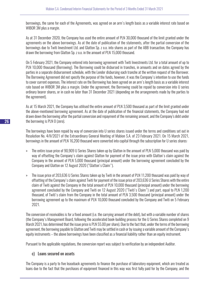borrowings, the same for each of the Agreements, was agreed on an arm's length basis as a variable interest rate based on WIBOR 3M plus a margin.

As at 31 December 2020, the Company has used the entire amount of PLN 30,000 thousand of the limit granted under the agreements on the above borrowings. As at the date of publication of the statements, after the partial conversion of the borrowings due to Twiti Investment Ltd. and Glatton Sp. z o.o. into shares as part of the ABB transaction, the Company has drawn the borrowing from Glatton Sp. z o.o. in the amount of PLN 15,000 thousand.

On 5 February 2021, the Company entered into borrowing agreement with Twiti Investments Ltd. for a total amount of up to PLN 10,000 thousand (Borrowing). The Borrowing could be disbursed in tranches, in amounts and on dates agreed by the parties in a separate disbursement schedule, with the Lender disbursing each tranche at the written request of the Borrower. The Borrowing Agreement did not specify the purpose of the funds, however, it was the Company's intention to use the funds to cover current expenses. The interest rate on the Borrowing has been agreed on an arm's length basis as a variable interest rate based on WIBOR 3M plus a margin. Under the agreement, the Borrowing could be repaid by conversion into U series ordinary bearer shares, or in cash no later than 31 December 2021 (depending on the arrangements made by the parties to the agreement).

As at 15 March 2021, the Company has utilised the entire amount of PLN 3,500 thousand as part of the limit granted under the above-mentioned borrowing agreement. As at the date of publication of the financial statements, the Company had not drawn down the borrowing after the partial conversion and repayment of the remaining amount, and the Company's debt under the borrowing is PLN 0 (zero).

The borrowings have been repaid by way of conversion into U series shares issued under the terms and conditions set out in Resolution No. 4/II/2021 of the Extraordinary General Meeting of Mabion S.A. of 23 February 2021. On 15 March 2021, borrowings in the amount of PLN 16,200 thousand were converted into capital through the subscription for U series shares:

- » The entire issue price of 90,909 U Series Shares taken up by Glatton in the amount of PLN 5,000 thousand was paid by way of offsetting the Company's claim against Glatton for payment of the issue price with Glatton's claim against the Company in the amount of PLN 5,000 thousand (principal amount) under the borrowing agreement concluded by the Company and Glatton on 12 August 2020 ("Glatton's Claim").
- » The issue price of 203,636 U Series Shares taken up by Twiti in the amount of PLN 11,200 thousand was paid by way of offsetting of the Company's claim against Twiti for payment of the issue price of 203,636 U Series Shares with the entire claim of Twiti against the Company in the total amount of PLN 10,000 thousand (principal amount) under the borrowing agreement concluded by the Company and Twiti on 12 August 2020 ("Twiti's Claim") and part, equal to PLN 1,200 thousand, of Twiti's claim from the Company in the total amount of PLN 3,500 thousand (principal amount) under the borrowing agreement up to the maximum of PLN 10,000 thousand concluded by the Company and Twiti on 5 February 2021.

The conversion of receivables is for a fixed amount (i.e. the carrying amount of the debt), but with a variable number of shares (the Company's Management Board, following the accelerated book-building process for the U Series Shares completed on 9 March 2021, has determined that the issue price is PLN 55.00 per share). Due to the fact that, under the terms of the borrowing agreement, the borrowing payable to Glatton and Twiti may be settled in cash or by issuing a variable amount of the Company's equity instruments – the above borrowings have been classified as a financial liability rather than an equity instrument.

Pursuant to the applicable regulations, the conversion report was subject to verification by an independent Auditor.

## c) Loans secured on assets

The Company is a party to five leaseback agreements to finance the purchase of laboratory equipment, which are treated as loans due to the fact that the purchases of equipment financed in this way was first fully paid for by the Company, and the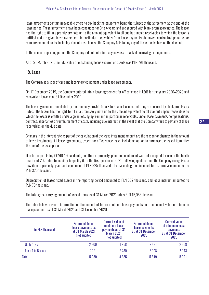lease agreements contain irrevocable offers to buy back the equipment being the subject of the agreement at the end of the lease period. These agreements have been concluded for 3 to 4 years and are secured with blank promissory notes. The lessor has the right to fill in a promissory note up to the amount equivalent to all due but unpaid receivables to which the lessor is entitled under a given lease agreement, in particular receivables from lease payments, damages, contractual penalties or reimbursement of costs, including due interest, in case the Company fails to pay any of these receivables on the due date.

In the current reporting period, the Company did not enter into any new asset-backed borrowing arrangements.

As at 31 March 2021, the total value of outstanding loans secured on assets was PLN 791 thousand.

## 19. Lease

The Company is a user of cars and laboratory equipment under lease agreements.

On 17 December 2019, the Company entered into a lease agreement for office space in Łódź for the years 2020–2023 and recognised lease as at 31 December 2019.

The lease agreements concluded by the Company provide for a 3 to 5-year lease period. They are secured by blank promissory notes. The lessor has the right to fill in a promissory note up to the amount equivalent to all due but unpaid receivables to which the lessor is entitled under a given leasing agreement, in particular receivables under lease payments, compensations, contractual penalties or reimbursement of costs, including due interest, in the event that the Company fails to pay any of these receivables on the due date.

Changes in the interest rate as part of the calculation of the lease instalment amount are the reason for changes in the amount of lease instalments. All lease agreements, except for office space lease, include an option to purchase the leased item after the end of the lease period.

Due to the persisting COVID-19 pandemic, one item of property, plant and equipment was not accepted for use in the fourth quarter of 2020 due to inability to qualify it. In the first quarter of 2021, following qualification, the Company recognised a new item of property, plant and equipment of PLN 325 thousand. The lease obligation incurred for its purchase amounted to PLN 325 thousand.

Depreciation of leased fixed assets in the reporting period amounted to PLN 652 thousand, and lease interest amounted to PLN 70 thousand.

The total gross carrying amount of leased items as at 31 March 2021 totals PLN 15,053 thousand.

The table below presents information on the amount of future minimum lease payments and the current value of minimum lease payments as at 31 March 2021 and 31 December 2020.

| in PLN thousand   | <b>Future minimum</b><br>lease payments as<br>at 31 March 2021<br>(not audited) | <b>Current value of</b><br>minimum lease<br>payments as at 31<br><b>March 2021</b><br>(not audited) | <b>Future minimum</b><br>lease payments<br>as at 31 December<br>2020 | <b>Current value</b><br>of minimum lease<br>payments<br>as at 31 December<br>2020 |
|-------------------|---------------------------------------------------------------------------------|-----------------------------------------------------------------------------------------------------|----------------------------------------------------------------------|-----------------------------------------------------------------------------------|
| Up to 1 year      | 2 3 0 9                                                                         | 1958                                                                                                | 2421                                                                 | 2 3 5 8                                                                           |
| From 1 to 5 years | 2 7 2 1                                                                         | 2780                                                                                                | 3 1 9 8                                                              | 2943                                                                              |
| <b>Total</b>      | 5030                                                                            | 4 6 3 5                                                                                             | 5619                                                                 | 5 3 0 1                                                                           |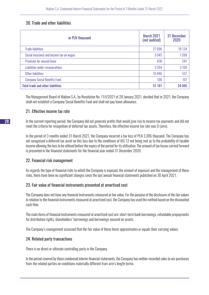## 20. Trade and other liabilities

| in PLN thousand                          | <b>March 2021</b><br>(not audited) | 31 December<br>2020 |
|------------------------------------------|------------------------------------|---------------------|
| <b>Trade liabilities</b>                 | 27096                              | 18 124              |
| Social insurance and income tax on wages | 3045                               | 1598                |
| Provision for unused leave               | 830                                | 541                 |
| Liabilities under remunerations          | 3 2 6 4                            | 3 1 6 8             |
| Other liabilities                        | 16846                              | 557                 |
| <b>Company Social Benefits Fund</b>      | 100                                | 107                 |
| <b>Total trade and other liabilities</b> | 51 181                             | 24 095              |

The Management Board of Mabion S.A., by Resolution No. 11/I/2021 of 28 January 2021, decided that in 2021, the Company shall not establish a Company Social Benefits Fund and shall not pay leave allowance.

## 21. Effective income tax rate

In the current reporting period, the Company did not generate profits that would give rise to income tax payments and did not meet the criteria for recognition of deferred tax assets. Therefore, the effective income tax rate was 0 (zero).

In the period of 3 months ended 31 March 2021, the Company incurred a tax loss of PLN 3,386 thousand. The Company has not recognised a deferred tax asset on this loss due to the conditions of IAS 12 not being met as to the probability of taxable income allowing the loss to be utilised before the expiry of the period for its utilisation. The amount of tax losses carried forward is presented in the financial statements for the financial year ended 31 December 2020.

## 22. Financial risk management

As regards the type of financial risks to which the Company is exposed, the amount of exposure and the management of these risks, there have been no significant changes since the last annual financial statements published on 30 April 2021.

## 23. Fair value of financial instruments presented at amortised cost

The Company does not have any financial instruments measured at fair value. For the purpose of the disclosure of the fair values in relation to the financial instruments measured at amortized cost, the Company has used the method based on the discounted cash flow.

The main items of financial instruments measured at amortized cost are: short-term bank borrowings, refundable prepayments for distribution rights, shareholders' borrowings and borrowings secured on assets.

The Company's management assessed that the fair value of these items approximates or equals their carrying values.

## 24. Related party transactions

There is no direct or ultimate controlling party in the Company.

In the period covered by these condensed interim financial statements, the Company has neither recorded sales to nor purchases from the related parties on conditions materially different from arm's length terms.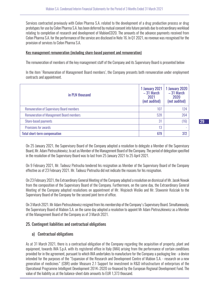Services contracted previously with Celon Pharma S.A. related to the development of a drug production process or drug prototypes for use by Celon Pharma S.A. has been deferred by mutual consent into future periods due to extraordinary workload relating to completion of research and development of MabionCD20. The amounts of the advance payments received from Celon Pharma S.A. for the performance of the service are disclosed in Note 16. In Q1 2021, no revenue was recognised for the provision of services to Celon Pharma S.A.

#### Key management remuneration (including share-based payment and remuneration)

The remuneration of members of the key management staff of the Company and its Supervisory Board is presented below:

In the item 'Remuneration of Management Board members', the Company presents both remuneration under employment contracts and appointment.

| in PLN thousand                                  | 1 January 2021<br>$-31$ March<br>2021<br>(not audited) | <b>1 January 2020</b><br>$-31$ March<br>2020<br>(not audited) |
|--------------------------------------------------|--------------------------------------------------------|---------------------------------------------------------------|
| <b>Remuneration of Supervisory Board members</b> | 107                                                    | 124                                                           |
| <b>Remuneration of Management Board members</b>  | 528                                                    | 264                                                           |
| Share-based payments                             | 31                                                     | (16)                                                          |
| Provisions for awards                            | 13                                                     |                                                               |
| <b>Total short-term compensation</b>             | 679                                                    | 372                                                           |

On 25 January 2021, the Supervisory Board of the Company adopted a resolution to delegate a Member of the Supervisory Board, Mr. Adam Pietruszkiewicz, to act as Member of the Management Board of the Company. The period of delegation specified in the resolution of the Supervisory Board was to last from 25 January 2021 to 25 April 2021.

On 9 February 2021, Mr. Tadeusz Pietrucha tendered his resignation as Member of the Supervisory Board of the Company effective as of 23 February 2021. Mr. Tadeusz Pietrucha did not indicate the reasons for his resignation.

On 23 February 2021, the Extraordinary General Meeting of the Company adopted a resolution on dismissal of Mr. Jacek Nowak from the composition of the Supervisory Board of the Company. Furthermore, on the same day, the Extraordinary General Meeting of the Company adopted resolutions on appointment of Mr. Wojciech Wośko and Mr. Sławomir Kościak to the Supervisory Board of the Company for the second joint term of office.

On 3 March 2021. Mr Adam Pietruszkiewicz resigned from his membership of the Company's Supervisory Board. Simultaneously, the Supervisory Board of Mabion S.A. on the same day adopted a resolution to appoint Mr Adam Pietruszkiewicz as a Member of the Management Board of the Company as of 3 March 2021.

#### 25. Contingent liabilities and contractual obligations

#### a) Contractual obligations

As at 31 March 2021, there is a contractual obligation of the Company regarding the acquisition of property, plant and equipment, towards IMA S.p.A. with its registered office in Italy (IMA) arising from the performance of certain conditions provided for in the agreement, pursuant to which IMA undertakes to manufacture for the Company a packaging line - a device intended for the purposes of the "Expansion of the Research and Development Centre of Mabion S.A. - research on a new generation of medicines" (CBR) under Measure 2.1 Support for investment in R&D infrastructure of enterprises of the Operational Programme Intelligent Development 2014–2020 co-financed by the European Regional Development Fund. The value of the liability as at the balance-sheet date amounts to EUR 1,373 thousand.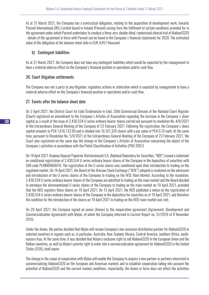As at 31 March 2021, the Company has a contractual obligation, relating to the acquisition of development work, towards Parexel International (IRL) Limited based in Ireland (Parexel) arising from the fulfilment of certain conditions provided for in the agreement under which Parexel undertakes to conduct a three-arm, double-blind, randomised clinical trial of MabionCD20 - details of the agreement in force with Parexel can be found in the Company's financial statements for 2020. The estimated value of the obligation at the balance-sheet date is EUR 4,857 thousand.

## b) Contingent liabilities

As at 31 March 2021, the Company does not have any contingent liabilities which would be expected by the management to have a material adverse effect on the Company's financial position or operations and/or cash flow.

## 26. Court litigation settlements

The Company was not a party to any litigation, regulatory actions or arbitration which is expected by management to have a material adverse effect on the Company's financial position or operations and/or cash flow.

## 27. Events after the balance sheet date

On 2 April 2021, the District Court for Łódź-Śródmieście in Łódź, 20th Commercial Division of the National Court Register (Court) registered an amendment to the Company's Articles of Association regarding the increase in the Company's share capital as a result of the issue of 2,430,554 U series ordinary bearer shares carried out pursuant to resolution No. 4/II/2021 of the Extraordinary General Meeting of the Company of 23 February 2021. Following the registration, the Company's share capital amounts to PLN 1,616,132.60 and is divided into 16,161,326 shares with a par value of PLN 0.10 each. At the same time, pursuant to Resolution No. 5/II/2021 of the Extraordinary General Meeting of the Company of 23 February 2021, the Court also registered on the same day the change in the Company's Articles of Association concerning the object of the Company's activities in accordance with the Polish Classification of Activities (PKD 2007).

On 14 April 2021, Krajowy Depozyt Papierów Wartościowych S.A. (National Depository for Securities, "NDS") issued a statement on conditional registration of 2,430,554 U series ordinary bearer shares of the Company in the depository of securities with ISIN code PLMBION00016. The registration of the U series shares was conditional upon their introduction to trading on the regulated market. On 14 April 2021, the Board of the Warsaw Stock Exchange ("WSE") adopted a resolution on the admission and introduction of the U series shares of the Company to trading on the WSE Main Market. According to the resolution, 2,430,554 U series ordinary bearer shares of the Company are admitted to trading on the main market and the Board decided to introduce the aforementioned U series shares of the Company to trading on the main market on 19 April 2021, provided that the NDS registers these shares on 19 April 2021. On 15 April 2021, the NDS published a notice on the registration of 2,430,554 U series ordinary bearer shares of the Company in the depository for securities as of 19 April 2021, and therefore the condition for the introduction of the shares on 19 April 2021 to trading on the WSE main market was met.

On 29 April 2021, the Company signed an annex (Annex) to the cooperation agreement (Agreement, Development and Commercialization Agreement) with Mylan, of which the Company informed in Current Report no. 31/2016 of 8 November 2016.

Under the Annex, the parties decided that Mylan will remain Company's non-exclusive distribution partner for MabionCD20 in selected countries in regions such as, in particular, Australia, New Zealand, Mexico, Central America, southern Africa, southeastern Asia. At the same time, it was decided that Mylan's exclusive right to sell MabionCD20 in the European Union and the Balkan countries, as well as Mylan's priority right to enter into a commercialization agreement for MabionCD20 in the United States (USA), shall expire.

The change in the scope of cooperation with Mylan will enable the Company to acquire a new partner or partners interested in commercializing MabionCD20 on the European and American markets and to establish cooperation taking into account the potential of MabionCD20 and the current market conditions. Importantly, the Annex in force does not affect the activities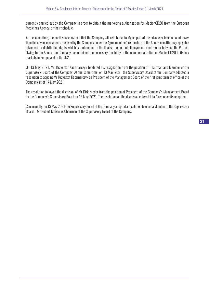currently carried out by the Company in order to obtain the marketing authorisation for MabionCD20 from the European Medicines Agency, or their schedule.

At the same time, the parties have agreed that the Company will reimburse to Mylan part of the advances, in an amount lower than the advance payments received by the Company under the Agreement before the date of the Annex, constituting repayable advances for distribution rights, which is tantamount to the final settlement of all payments made so far between the Parties. Owing to the Annex, the Company has obtained the necessary flexibility in the commercialization of MabionCD20 in its key markets in Europe and in the USA.

On 13 May 2021, Mr. Krzysztof Kaczmarczyk tendered his resignation from the position of Chairman and Member of the Supervisory Board of the Company. At the same time, on 13 May 2021 the Supervisory Board of the Company adopted a resolution to appoint Mr Krzysztof Kaczmarczyk as President of the Management Board of the first joint term of office of the Company as of 14 May 2021.

The resolution followed the dismissal of Mr Dirk Kreder from the position of President of the Company's Management Board by the Company's Supervisory Board on 13 May 2021. The resolution on the dismissal entered into force upon its adoption.

Concurrently, on 13 May 2021 the Supervisory Board of the Company adopted a resolution to elect a Member of the Supervisory Board – Mr Robert Koński as Chairman of the Supervisory Board of the Company.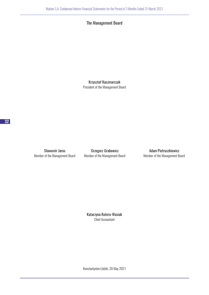## The Management Board

Krzysztof Kaczmarczyk President of the Management Board

Member of the Management Board Member of the Management Board Member of the Management Board

Sławomir Jaros **Grzegorz Grabowicz Grammatical Adam Pietruszkiewicz** 

Katarzyna Kutera-Wasiak Chief Accountant

Konstantynów Łódzki, 20 May 2021